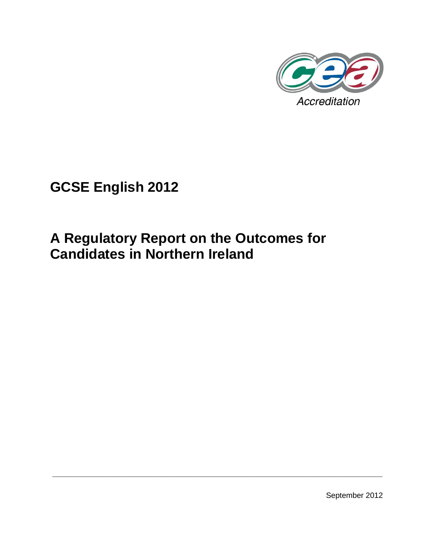

# **GCSE English 2012**

# **A Regulatory Report on the Outcomes for Candidates in Northern Ireland**

**\_\_\_\_\_\_\_\_\_\_\_\_\_\_\_\_\_\_\_\_\_\_\_\_\_\_\_\_\_\_\_\_\_\_\_\_\_\_\_\_\_\_\_\_\_\_\_\_\_\_\_\_\_\_\_\_\_\_\_\_\_\_\_\_\_\_\_\_\_\_\_**

September 2012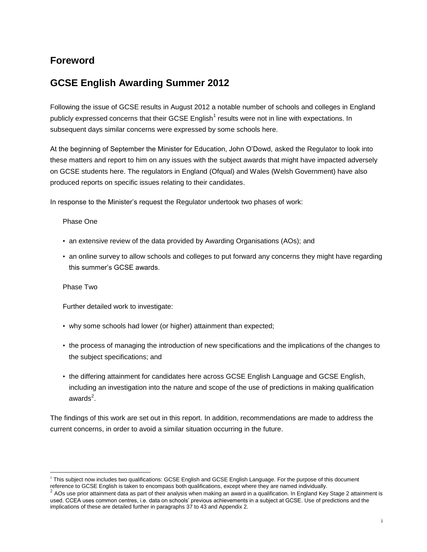# **Foreword**

# **GCSE English Awarding Summer 2012**

Following the issue of GCSE results in August 2012 a notable number of schools and colleges in England publicly expressed concerns that their GCSE English<sup>1</sup> results were not in line with expectations. In subsequent days similar concerns were expressed by some schools here.

At the beginning of September the Minister for Education, John O'Dowd, asked the Regulator to look into these matters and report to him on any issues with the subject awards that might have impacted adversely on GCSE students here. The regulators in England (Ofqual) and Wales (Welsh Government) have also produced reports on specific issues relating to their candidates.

In response to the Minister's request the Regulator undertook two phases of work:

#### Phase One

- an extensive review of the data provided by Awarding Organisations (AOs); and
- an online survey to allow schools and colleges to put forward any concerns they might have regarding this summer's GCSE awards.

#### Phase Two

Further detailed work to investigate:

- why some schools had lower (or higher) attainment than expected;
- the process of managing the introduction of new specifications and the implications of the changes to the subject specifications; and
- the differing attainment for candidates here across GCSE English Language and GCSE English, including an investigation into the nature and scope of the use of predictions in making qualification awards $^2$ .

The findings of this work are set out in this report. In addition, recommendations are made to address the current concerns, in order to avoid a similar situation occurring in the future.

 $\overline{a}$ <sup>1</sup> This subject now includes two qualifications: GCSE English and GCSE English Language. For the purpose of this document reference to GCSE English is taken to encompass both qualifications, except where they are named individually.<br>2.000 vac rrier etteinment data as nort of their anglygis when making an award in a qualification. In England K

AOs use prior attainment data as part of their analysis when making an award in a qualification. In England Key Stage 2 attainment is used. CCEA uses common centres, i.e. data on schools' previous achievements in a subject at GCSE. Use of predictions and the implications of these are detailed further in paragraphs 37 to 43 and Appendix 2.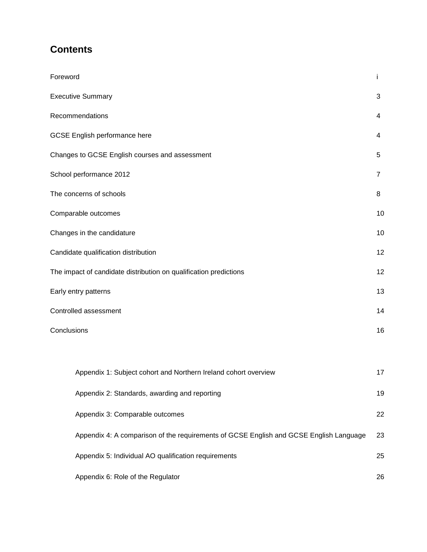# **Contents**

| Foreword                                                                               | i. |
|----------------------------------------------------------------------------------------|----|
| <b>Executive Summary</b>                                                               | 3  |
| Recommendations                                                                        | 4  |
| <b>GCSE English performance here</b>                                                   | 4  |
| Changes to GCSE English courses and assessment                                         | 5  |
| School performance 2012                                                                | 7  |
| The concerns of schools                                                                | 8  |
| Comparable outcomes                                                                    | 10 |
| Changes in the candidature                                                             | 10 |
| Candidate qualification distribution                                                   | 12 |
| The impact of candidate distribution on qualification predictions                      | 12 |
| Early entry patterns                                                                   | 13 |
| Controlled assessment                                                                  | 14 |
| Conclusions                                                                            | 16 |
|                                                                                        |    |
| Appendix 1: Subject cohort and Northern Ireland cohort overview                        | 17 |
| Appendix 2: Standards, awarding and reporting                                          | 19 |
| Appendix 3: Comparable outcomes                                                        | 22 |
| Appendix 4: A comparison of the requirements of GCSE English and GCSE English Language | 23 |
| Appendix 5: Individual AO qualification requirements                                   | 25 |
| Appendix 6: Role of the Regulator                                                      | 26 |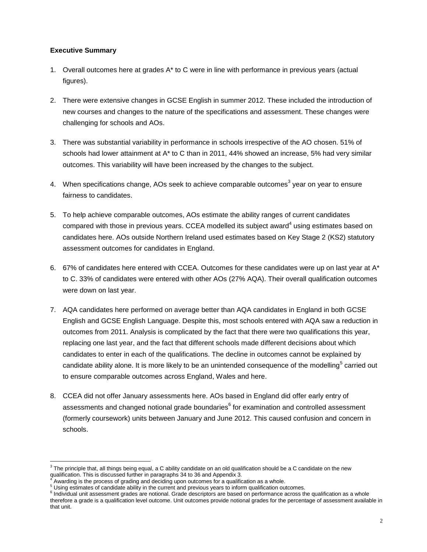#### **Executive Summary**

 $\overline{a}$ 

- 1. Overall outcomes here at grades A\* to C were in line with performance in previous years (actual figures).
- 2. There were extensive changes in GCSE English in summer 2012. These included the introduction of new courses and changes to the nature of the specifications and assessment. These changes were challenging for schools and AOs.
- 3. There was substantial variability in performance in schools irrespective of the AO chosen. 51% of schools had lower attainment at A<sup>\*</sup> to C than in 2011, 44% showed an increase, 5% had very similar outcomes. This variability will have been increased by the changes to the subject.
- 4. When specifications change, AOs seek to achieve comparable outcomes<sup>3</sup> year on year to ensure fairness to candidates.
- 5. To help achieve comparable outcomes, AOs estimate the ability ranges of current candidates compared with those in previous years. CCEA modelled its subject award<sup>4</sup> using estimates based on candidates here. AOs outside Northern Ireland used estimates based on Key Stage 2 (KS2) statutory assessment outcomes for candidates in England.
- 6. 67% of candidates here entered with CCEA. Outcomes for these candidates were up on last year at  $A^*$ to C. 33% of candidates were entered with other AOs (27% AQA). Their overall qualification outcomes were down on last year.
- 7. AQA candidates here performed on average better than AQA candidates in England in both GCSE English and GCSE English Language. Despite this, most schools entered with AQA saw a reduction in outcomes from 2011. Analysis is complicated by the fact that there were two qualifications this year, replacing one last year, and the fact that different schools made different decisions about which candidates to enter in each of the qualifications. The decline in outcomes cannot be explained by candidate ability alone. It is more likely to be an unintended consequence of the modelling<sup>5</sup> carried out to ensure comparable outcomes across England, Wales and here.
- 8. CCEA did not offer January assessments here. AOs based in England did offer early entry of assessments and changed notional grade boundaries $^6$  for examination and controlled assessment (formerly coursework) units between January and June 2012. This caused confusion and concern in schools.

 $3$  The principle that, all things being equal, a C ability candidate on an old qualification should be a C candidate on the new qualification. This is discussed further in paragraphs 34 to 36 and Appendix 3.

<sup>4</sup> Awarding is the process of grading and deciding upon outcomes for a qualification as a whole.

<sup>&</sup>lt;sup>5</sup> Using estimates of candidate ability in the current and previous years to inform qualification outcomes.

<sup>&</sup>lt;sup>6</sup> Individual unit assessment grades are notional. Grade descriptors are based on performance across the qualification as a whole therefore a grade is a qualification level outcome. Unit outcomes provide notional grades for the percentage of assessment available in that unit.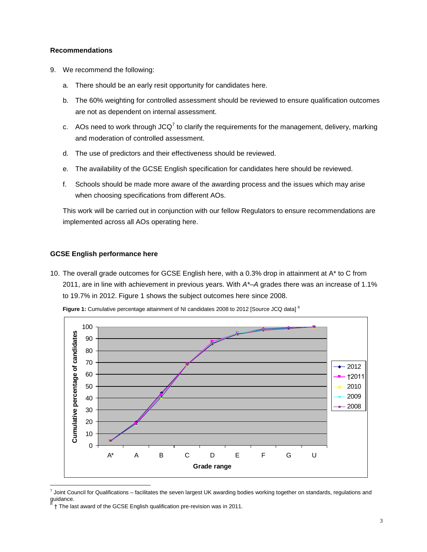#### **Recommendations**

- 9. We recommend the following:
	- a. There should be an early resit opportunity for candidates here.
	- b. The 60% weighting for controlled assessment should be reviewed to ensure qualification outcomes are not as dependent on internal assessment.
	- c. AOs need to work through JCQ<sup>7</sup> to clarify the requirements for the management, delivery, marking and moderation of controlled assessment.
	- d. The use of predictors and their effectiveness should be reviewed.
	- e. The availability of the GCSE English specification for candidates here should be reviewed.
	- f. Schools should be made more aware of the awarding process and the issues which may arise when choosing specifications from different AOs.

This work will be carried out in conjunction with our fellow Regulators to ensure recommendations are implemented across all AOs operating here.

#### **GCSE English performance here**

 $\overline{a}$ 

10. The overall grade outcomes for GCSE English here, with a 0.3% drop in attainment at A\* to C from 2011, are in line with achievement in previous years. With *A\*–A* grades there was an increase of 1.1% to 19.7% in 2012. Figure 1 shows the subject outcomes here since 2008.



**Figure 1:** Cumulative percentage attainment of NI candidates 2008 to 2012 [Source JCQ data]<sup>8</sup>

 $^7$  Joint Council for Qualifications – facilitates the seven largest UK awarding bodies working together on standards, regulations and guidance.

<sup>8</sup> † The last award of the GCSE English qualification pre-revision was in 2011.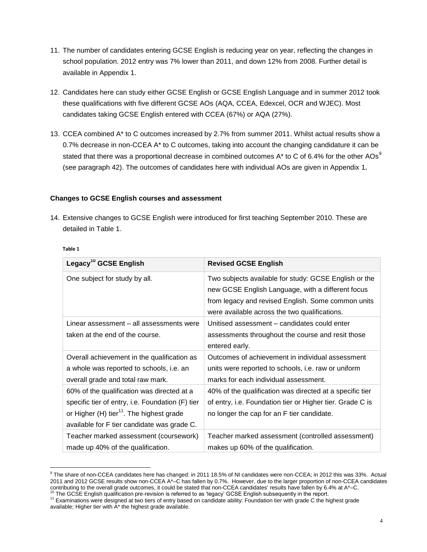- 11. The number of candidates entering GCSE English is reducing year on year, reflecting the changes in school population. 2012 entry was 7% lower than 2011, and down 12% from 2008. Further detail is available in Appendix 1.
- 12. Candidates here can study either GCSE English or GCSE English Language and in summer 2012 took these qualifications with five different GCSE AOs (AQA, CCEA, Edexcel, OCR and WJEC). Most candidates taking GCSE English entered with CCEA (67%) or AQA (27%).
- 13. CCEA combined A\* to C outcomes increased by 2.7% from summer 2011. Whilst actual results show a 0.7% decrease in non-CCEA A\* to C outcomes, taking into account the changing candidature it can be stated that there was a proportional decrease in combined outcomes  $A^*$  to C of 6.4% for the other AOs<sup>9</sup> (see paragraph 42). The outcomes of candidates here with individual AOs are given in Appendix 1.

#### **Changes to GCSE English courses and assessment**

14. Extensive changes to GCSE English were introduced for first teaching September 2010. These are detailed in Table 1.

| ٠<br><br><b>SALE</b><br>۰,<br>×<br>۰. |  |
|---------------------------------------|--|
|                                       |  |

 $\overline{a}$ 

| Legacy <sup>10</sup> GCSE English                    | <b>Revised GCSE English</b>                                                                                                                                                                                       |
|------------------------------------------------------|-------------------------------------------------------------------------------------------------------------------------------------------------------------------------------------------------------------------|
| One subject for study by all.                        | Two subjects available for study: GCSE English or the<br>new GCSE English Language, with a different focus<br>from legacy and revised English. Some common units<br>were available across the two qualifications. |
| Linear assessment - all assessments were             | Unitised assessment – candidates could enter                                                                                                                                                                      |
| taken at the end of the course.                      | assessments throughout the course and resit those<br>entered early.                                                                                                                                               |
| Overall achievement in the qualification as          | Outcomes of achievement in individual assessment                                                                                                                                                                  |
| a whole was reported to schools, i.e. an             | units were reported to schools, i.e. raw or uniform                                                                                                                                                               |
| overall grade and total raw mark.                    | marks for each individual assessment.                                                                                                                                                                             |
| 60% of the qualification was directed at a           | 40% of the qualification was directed at a specific tier                                                                                                                                                          |
| specific tier of entry, i.e. Foundation (F) tier     | of entry, i.e. Foundation tier or Higher tier. Grade C is                                                                                                                                                         |
| or Higher (H) tier <sup>11</sup> . The highest grade | no longer the cap for an F tier candidate.                                                                                                                                                                        |
| available for F tier candidate was grade C.          |                                                                                                                                                                                                                   |
| Teacher marked assessment (coursework)               | Teacher marked assessment (controlled assessment)                                                                                                                                                                 |
| made up 40% of the qualification.                    | makes up 60% of the qualification.                                                                                                                                                                                |

<sup>&</sup>lt;sup>9</sup> The share of non-CCEA candidates here has changed: in 2011 18.5% of NI candidates were non-CCEA; in 2012 this was 33%. Actual 2011 and 2012 GCSE results show non-CCEA A\*–C has fallen by 0.7%. However, due to the larger proportion of non-CCEA candidates contributing to the overall grade outcomes, it could be stated that non-CCEA candidates' results have fallen by 6.4% at A\*–C.

The GCSE English qualification pre-revision is referred to as 'legacy' GCSE English subsequently in the report.

<sup>&</sup>lt;sup>11</sup> Examinations were designed at two tiers of entry based on candidate ability: Foundation tier with grade C the highest grade available; Higher tier with A\* the highest grade available.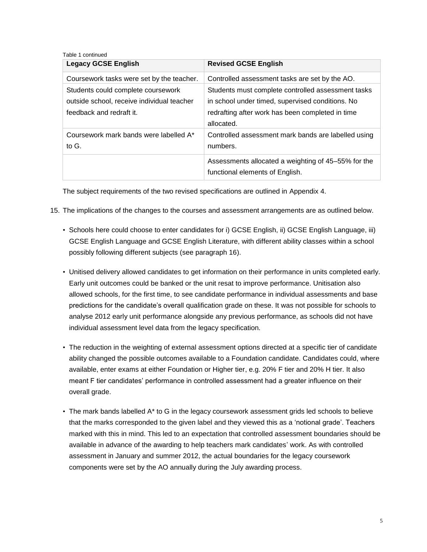#### Table 1 continued

| <b>Legacy GCSE English</b>                 | <b>Revised GCSE English</b>                         |
|--------------------------------------------|-----------------------------------------------------|
| Coursework tasks were set by the teacher.  | Controlled assessment tasks are set by the AO.      |
| Students could complete coursework         | Students must complete controlled assessment tasks  |
| outside school, receive individual teacher | in school under timed, supervised conditions. No    |
| feedback and redraft it.                   | redrafting after work has been completed in time    |
|                                            | allocated.                                          |
| Coursework mark bands were labelled A*     | Controlled assessment mark bands are labelled using |
| to G.                                      | numbers.                                            |
|                                            | Assessments allocated a weighting of 45–55% for the |
|                                            | functional elements of English.                     |

The subject requirements of the two revised specifications are outlined in Appendix 4.

- 15. The implications of the changes to the courses and assessment arrangements are as outlined below.
	- Schools here could choose to enter candidates for i) GCSE English, ii) GCSE English Language, iii) GCSE English Language and GCSE English Literature, with different ability classes within a school possibly following different subjects (see paragraph 16).
	- Unitised delivery allowed candidates to get information on their performance in units completed early. Early unit outcomes could be banked or the unit resat to improve performance. Unitisation also allowed schools, for the first time, to see candidate performance in individual assessments and base predictions for the candidate's overall qualification grade on these. It was not possible for schools to analyse 2012 early unit performance alongside any previous performance, as schools did not have individual assessment level data from the legacy specification.
	- The reduction in the weighting of external assessment options directed at a specific tier of candidate ability changed the possible outcomes available to a Foundation candidate. Candidates could, where available, enter exams at either Foundation or Higher tier, e.g. 20% F tier and 20% H tier. It also meant F tier candidates' performance in controlled assessment had a greater influence on their overall grade.
	- The mark bands labelled A\* to G in the legacy coursework assessment grids led schools to believe that the marks corresponded to the given label and they viewed this as a 'notional grade'. Teachers marked with this in mind. This led to an expectation that controlled assessment boundaries should be available in advance of the awarding to help teachers mark candidates' work. As with controlled assessment in January and summer 2012, the actual boundaries for the legacy coursework components were set by the AO annually during the July awarding process.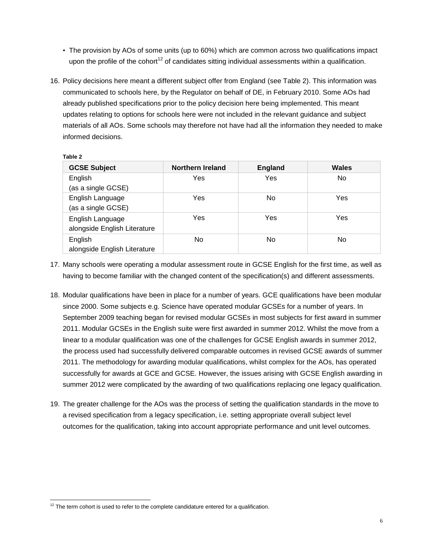- The provision by AOs of some units (up to 60%) which are common across two qualifications impact upon the profile of the cohort<sup>12</sup> of candidates sitting individual assessments within a qualification.
- 16. Policy decisions here meant a different subject offer from England (see Table 2). This information was communicated to schools here, by the Regulator on behalf of DE, in February 2010. Some AOs had already published specifications prior to the policy decision here being implemented. This meant updates relating to options for schools here were not included in the relevant guidance and subject materials of all AOs. Some schools may therefore not have had all the information they needed to make informed decisions.

| ----- | т.<br>w |  |  |
|-------|---------|--|--|
|       |         |  |  |

| <b>GCSE Subject</b>          | Northern Ireland | <b>England</b> | Wales |
|------------------------------|------------------|----------------|-------|
| English                      | Yes              | Yes            | No    |
| (as a single GCSE)           |                  |                |       |
| English Language             | Yes              | No             | Yes   |
| (as a single GCSE)           |                  |                |       |
| English Language             | Yes              | Yes            | Yes   |
| alongside English Literature |                  |                |       |
| English                      | No.              | No             | No    |
| alongside English Literature |                  |                |       |

- 17. Many schools were operating a modular assessment route in GCSE English for the first time, as well as having to become familiar with the changed content of the specification(s) and different assessments.
- 18. Modular qualifications have been in place for a number of years. GCE qualifications have been modular since 2000. Some subjects e.g. Science have operated modular GCSEs for a number of years. In September 2009 teaching began for revised modular GCSEs in most subjects for first award in summer 2011. Modular GCSEs in the English suite were first awarded in summer 2012. Whilst the move from a linear to a modular qualification was one of the challenges for GCSE English awards in summer 2012, the process used had successfully delivered comparable outcomes in revised GCSE awards of summer 2011. The methodology for awarding modular qualifications, whilst complex for the AOs, has operated successfully for awards at GCE and GCSE. However, the issues arising with GCSE English awarding in summer 2012 were complicated by the awarding of two qualifications replacing one legacy qualification.
- 19. The greater challenge for the AOs was the process of setting the qualification standards in the move to a revised specification from a legacy specification, i.e. setting appropriate overall subject level outcomes for the qualification, taking into account appropriate performance and unit level outcomes.

 $\overline{a}$  $12$  The term cohort is used to refer to the complete candidature entered for a qualification.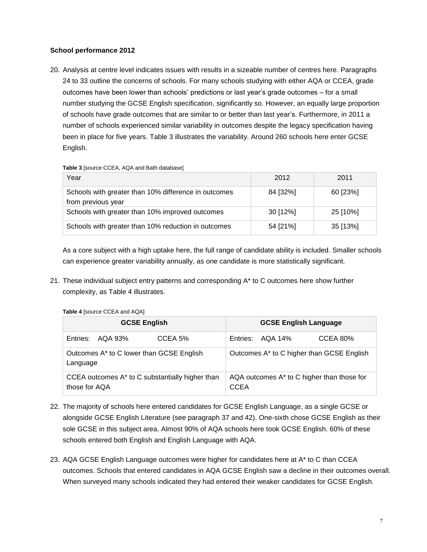#### **School performance 2012**

20. Analysis at centre level indicates issues with results in a sizeable number of centres here. Paragraphs 24 to 33 outline the concerns of schools. For many schools studying with either AQA or CCEA, grade outcomes have been lower than schools' predictions or last year's grade outcomes – for a small number studying the GCSE English specification, significantly so. However, an equally large proportion of schools have grade outcomes that are similar to or better than last year's. Furthermore, in 2011 a number of schools experienced similar variability in outcomes despite the legacy specification having been in place for five years. Table 3 illustrates the variability. Around 260 schools here enter GCSE English.

#### **Table 3** [source CCEA, AQA and Bath database]

| Year                                                                       | 2012     | 2011     |
|----------------------------------------------------------------------------|----------|----------|
| Schools with greater than 10% difference in outcomes<br>from previous year | 84 [32%] | 60 [23%] |
| Schools with greater than 10% improved outcomes                            | 30 [12%] | 25 [10%] |
| Schools with greater than 10% reduction in outcomes                        | 54 [21%] | 35 [13%] |

As a core subject with a high uptake here, the full range of candidate ability is included. Smaller schools can experience greater variability annually, as one candidate is more statistically significant.

21. These individual subject entry patterns and corresponding A\* to C outcomes here show further complexity, as Table 4 illustrates.

| <b>GCSE English</b>                                              |                  |         | <b>GCSE English Language</b>              |                                            |          |
|------------------------------------------------------------------|------------------|---------|-------------------------------------------|--------------------------------------------|----------|
|                                                                  | Entries: AQA 93% | CCEA 5% |                                           | Entries: AQA 14%                           | CCEA 80% |
| Outcomes A* to C lower than GCSE English<br>Language             |                  |         | Outcomes A* to C higher than GCSE English |                                            |          |
| CCEA outcomes A* to C substantially higher than<br>those for AQA |                  |         | <b>CCEA</b>                               | AQA outcomes A* to C higher than those for |          |

**Table 4** [source CCEA and AQA]

- 22. The majority of schools here entered candidates for GCSE English Language, as a single GCSE or alongside GCSE English Literature (see paragraph 37 and 42). One-sixth chose GCSE English as their sole GCSE in this subject area. Almost 90% of AQA schools here took GCSE English. 60% of these schools entered both English and English Language with AQA.
- 23. AQA GCSE English Language outcomes were higher for candidates here at A\* to C than CCEA outcomes. Schools that entered candidates in AQA GCSE English saw a decline in their outcomes overall. When surveyed many schools indicated they had entered their weaker candidates for GCSE English.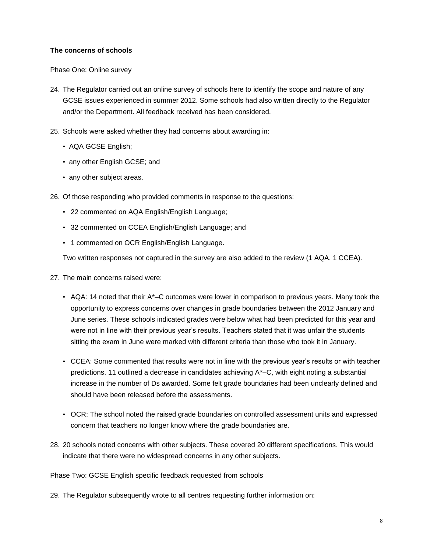#### **The concerns of schools**

Phase One: Online survey

- 24. The Regulator carried out an online survey of schools here to identify the scope and nature of any GCSE issues experienced in summer 2012. Some schools had also written directly to the Regulator and/or the Department. All feedback received has been considered.
- 25. Schools were asked whether they had concerns about awarding in:
	- AQA GCSE English;
	- any other English GCSE; and
	- any other subject areas.
- 26. Of those responding who provided comments in response to the questions:
	- 22 commented on AQA English/English Language;
	- 32 commented on CCEA English/English Language; and
	- 1 commented on OCR English/English Language.

Two written responses not captured in the survey are also added to the review (1 AQA, 1 CCEA).

- 27. The main concerns raised were:
	- AQA: 14 noted that their A\*–C outcomes were lower in comparison to previous years. Many took the opportunity to express concerns over changes in grade boundaries between the 2012 January and June series. These schools indicated grades were below what had been predicted for this year and were not in line with their previous year's results. Teachers stated that it was unfair the students sitting the exam in June were marked with different criteria than those who took it in January.
	- CCEA: Some commented that results were not in line with the previous year's results or with teacher predictions. 11 outlined a decrease in candidates achieving A\*–C, with eight noting a substantial increase in the number of Ds awarded. Some felt grade boundaries had been unclearly defined and should have been released before the assessments.
	- OCR: The school noted the raised grade boundaries on controlled assessment units and expressed concern that teachers no longer know where the grade boundaries are.
- 28. 20 schools noted concerns with other subjects. These covered 20 different specifications. This would indicate that there were no widespread concerns in any other subjects.

Phase Two: GCSE English specific feedback requested from schools

29. The Regulator subsequently wrote to all centres requesting further information on: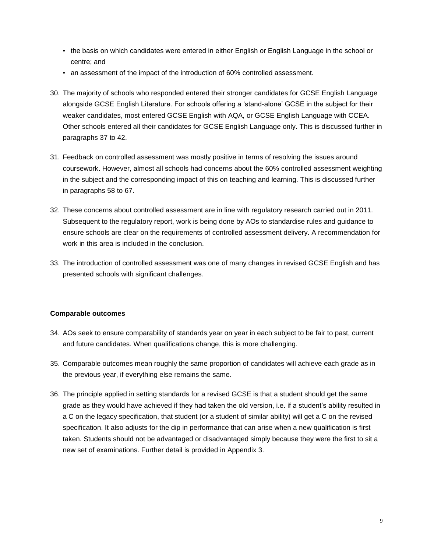- the basis on which candidates were entered in either English or English Language in the school or centre; and
- an assessment of the impact of the introduction of 60% controlled assessment.
- 30. The majority of schools who responded entered their stronger candidates for GCSE English Language alongside GCSE English Literature. For schools offering a 'stand-alone' GCSE in the subject for their weaker candidates, most entered GCSE English with AQA, or GCSE English Language with CCEA. Other schools entered all their candidates for GCSE English Language only. This is discussed further in paragraphs 37 to 42.
- 31. Feedback on controlled assessment was mostly positive in terms of resolving the issues around coursework. However, almost all schools had concerns about the 60% controlled assessment weighting in the subject and the corresponding impact of this on teaching and learning. This is discussed further in paragraphs 58 to 67.
- 32. These concerns about controlled assessment are in line with regulatory research carried out in 2011. Subsequent to the regulatory report, work is being done by AOs to standardise rules and guidance to ensure schools are clear on the requirements of controlled assessment delivery. A recommendation for work in this area is included in the conclusion.
- 33. The introduction of controlled assessment was one of many changes in revised GCSE English and has presented schools with significant challenges.

#### **Comparable outcomes**

- 34. AOs seek to ensure comparability of standards year on year in each subject to be fair to past, current and future candidates. When qualifications change, this is more challenging.
- 35. Comparable outcomes mean roughly the same proportion of candidates will achieve each grade as in the previous year, if everything else remains the same.
- 36. The principle applied in setting standards for a revised GCSE is that a student should get the same grade as they would have achieved if they had taken the old version, i.e. if a student's ability resulted in a C on the legacy specification, that student (or a student of similar ability) will get a C on the revised specification. It also adjusts for the dip in performance that can arise when a new qualification is first taken. Students should not be advantaged or disadvantaged simply because they were the first to sit a new set of examinations. Further detail is provided in Appendix 3.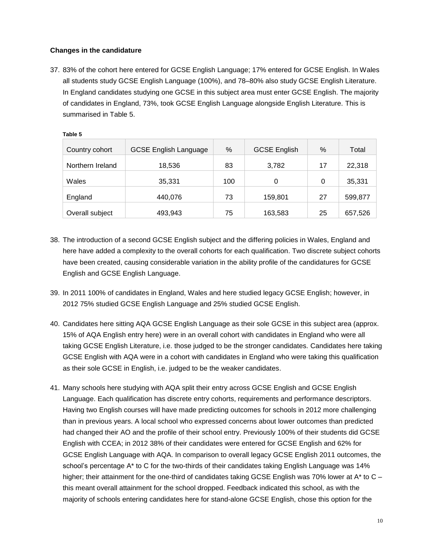### **Changes in the candidature**

37. 83% of the cohort here entered for GCSE English Language; 17% entered for GCSE English. In Wales all students study GCSE English Language (100%), and 78–80% also study GCSE English Literature. In England candidates studying one GCSE in this subject area must enter GCSE English. The majority of candidates in England, 73%, took GCSE English Language alongside English Literature. This is summarised in Table 5.

| Country cohort   | <b>GCSE English Language</b> | %   | <b>GCSE English</b> | %  | Total   |
|------------------|------------------------------|-----|---------------------|----|---------|
| Northern Ireland | 18,536                       | 83  | 3,782               | 17 | 22,318  |
| Wales            | 35,331                       | 100 | 0                   | 0  | 35,331  |
| England          | 440,076                      | 73  | 159,801             | 27 | 599,877 |
| Overall subject  | 493,943                      | 75  | 163,583             | 25 | 657,526 |

**Table 5**

- 38. The introduction of a second GCSE English subject and the differing policies in Wales, England and here have added a complexity to the overall cohorts for each qualification. Two discrete subject cohorts have been created, causing considerable variation in the ability profile of the candidatures for GCSE English and GCSE English Language.
- 39. In 2011 100% of candidates in England, Wales and here studied legacy GCSE English; however, in 2012 75% studied GCSE English Language and 25% studied GCSE English.
- 40. Candidates here sitting AQA GCSE English Language as their sole GCSE in this subject area (approx. 15% of AQA English entry here) were in an overall cohort with candidates in England who were all taking GCSE English Literature, i.e. those judged to be the stronger candidates. Candidates here taking GCSE English with AQA were in a cohort with candidates in England who were taking this qualification as their sole GCSE in English, i.e. judged to be the weaker candidates.
- 41. Many schools here studying with AQA split their entry across GCSE English and GCSE English Language. Each qualification has discrete entry cohorts, requirements and performance descriptors. Having two English courses will have made predicting outcomes for schools in 2012 more challenging than in previous years. A local school who expressed concerns about lower outcomes than predicted had changed their AO and the profile of their school entry. Previously 100% of their students did GCSE English with CCEA; in 2012 38% of their candidates were entered for GCSE English and 62% for GCSE English Language with AQA. In comparison to overall legacy GCSE English 2011 outcomes, the school's percentage A<sup>\*</sup> to C for the two-thirds of their candidates taking English Language was 14% higher; their attainment for the one-third of candidates taking GCSE English was 70% lower at  $A^*$  to  $C$ this meant overall attainment for the school dropped. Feedback indicated this school, as with the majority of schools entering candidates here for stand-alone GCSE English, chose this option for the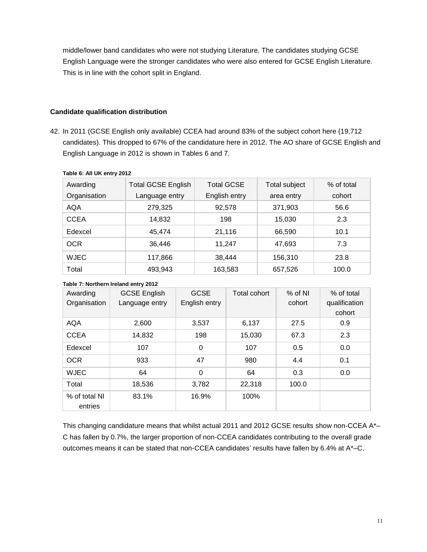middle/lower band candidates who were not studying Literature. The candidates studying GCSE English Language were the stronger candidates who were also entered for GCSE English Literature. This is in line with the cohort split in England.

#### **Candidate qualification distribution**

42. In 2011 (GCSE English only available) CCEA had around 83% of the subject cohort here (19,712 candidates). This dropped to 67% of the candidature here in 2012. The AO share of GCSE English and English Language in 2012 is shown in Tables 6 and 7.

| Awarding     | <b>Total GCSE English</b> | <b>Total GCSE</b> | <b>Total subject</b> | % of total |
|--------------|---------------------------|-------------------|----------------------|------------|
| Organisation | Language entry            | English entry     | area entry           | cohort     |
| <b>AQA</b>   | 279,325                   | 92,578            | 371,903              | 56.6       |
| <b>CCEA</b>  | 14,832                    | 198               | 15.030               | 2.3        |
| Edexcel      | 45.474                    | 21,116            | 66,590               | 10.1       |
| <b>OCR</b>   | 36,446                    | 11.247            | 47.693               | 7.3        |
| WJEC         | 117,866                   | 38,444            | 156,310              | 23.8       |
| Total        | 493,943                   | 163,583           | 657,526              | 100.0      |

#### **Table 6: All UK entry 2012**

#### **Table 7: Northern Ireland entry 2012**

| Awarding<br>Organisation | <b>GCSE English</b><br>Language entry | <b>GCSE</b><br>English entry | Total cohort | $%$ of NI<br>cohort | % of total<br>qualification<br>cohort |
|--------------------------|---------------------------------------|------------------------------|--------------|---------------------|---------------------------------------|
| <b>AQA</b>               | 2,600                                 | 3,537                        | 6,137        | 27.5                | 0.9                                   |
| <b>CCEA</b>              | 14,832                                | 198                          | 15,030       | 67.3                | 2.3                                   |
| Edexcel                  | 107                                   | 0                            | 107          | 0.5                 | 0.0                                   |
| <b>OCR</b>               | 933                                   | 47                           | 980          | 4.4                 | 0.1                                   |
| <b>WJEC</b>              | 64                                    | 0                            | 64           | 0.3                 | 0.0                                   |
| Total                    | 18,536                                | 3,782                        | 22,318       | 100.0               |                                       |
| % of total NI<br>entries | 83.1%                                 | 16.9%                        | 100%         |                     |                                       |

This changing candidature means that whilst actual 2011 and 2012 GCSE results show non-CCEA A\*-C has fallen by 0.7%, the larger proportion of non-CCEA candidates contributing to the overall grade outcomes means it can be stated that non-CCEA candidates' results have fallen by 6.4% at A\*–C.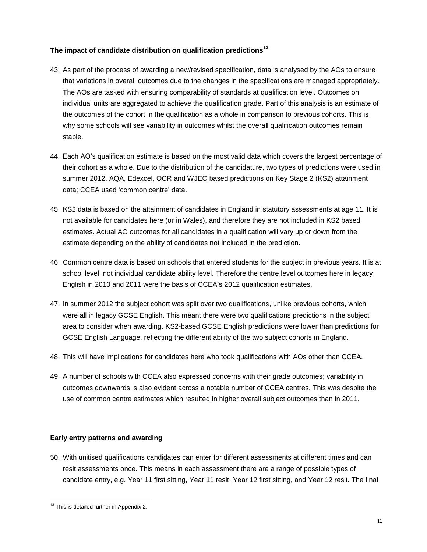## **The impact of candidate distribution on qualification predictions<sup>13</sup>**

- 43. As part of the process of awarding a new/revised specification, data is analysed by the AOs to ensure that variations in overall outcomes due to the changes in the specifications are managed appropriately. The AOs are tasked with ensuring comparability of standards at qualification level. Outcomes on individual units are aggregated to achieve the qualification grade. Part of this analysis is an estimate of the outcomes of the cohort in the qualification as a whole in comparison to previous cohorts. This is why some schools will see variability in outcomes whilst the overall qualification outcomes remain stable.
- 44. Each AO's qualification estimate is based on the most valid data which covers the largest percentage of their cohort as a whole. Due to the distribution of the candidature, two types of predictions were used in summer 2012. AQA, Edexcel, OCR and WJEC based predictions on Key Stage 2 (KS2) attainment data; CCEA used 'common centre' data.
- 45. KS2 data is based on the attainment of candidates in England in statutory assessments at age 11. It is not available for candidates here (or in Wales), and therefore they are not included in KS2 based estimates. Actual AO outcomes for all candidates in a qualification will vary up or down from the estimate depending on the ability of candidates not included in the prediction.
- 46. Common centre data is based on schools that entered students for the subject in previous years. It is at school level, not individual candidate ability level. Therefore the centre level outcomes here in legacy English in 2010 and 2011 were the basis of CCEA's 2012 qualification estimates.
- 47. In summer 2012 the subject cohort was split over two qualifications, unlike previous cohorts, which were all in legacy GCSE English. This meant there were two qualifications predictions in the subject area to consider when awarding. KS2-based GCSE English predictions were lower than predictions for GCSE English Language, reflecting the different ability of the two subject cohorts in England.
- 48. This will have implications for candidates here who took qualifications with AOs other than CCEA.
- 49. A number of schools with CCEA also expressed concerns with their grade outcomes; variability in outcomes downwards is also evident across a notable number of CCEA centres. This was despite the use of common centre estimates which resulted in higher overall subject outcomes than in 2011.

#### **Early entry patterns and awarding**

50. With unitised qualifications candidates can enter for different assessments at different times and can resit assessments once. This means in each assessment there are a range of possible types of candidate entry, e.g. Year 11 first sitting, Year 11 resit, Year 12 first sitting, and Year 12 resit. The final

 $\overline{a}$  $13$  This is detailed further in Appendix 2.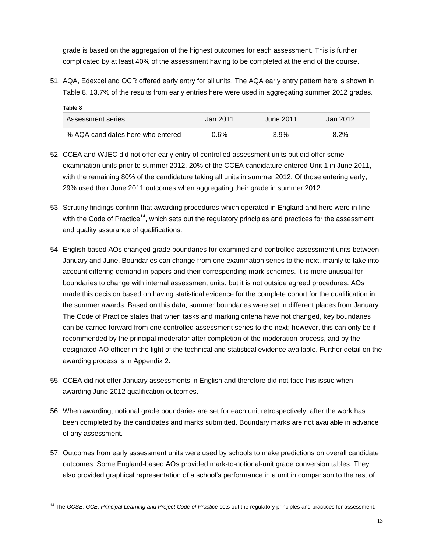grade is based on the aggregation of the highest outcomes for each assessment. This is further complicated by at least 40% of the assessment having to be completed at the end of the course.

51. AQA, Edexcel and OCR offered early entry for all units. The AQA early entry pattern here is shown in Table 8. 13.7% of the results from early entries here were used in aggregating summer 2012 grades.

| Table 8                           |          |           |          |  |  |
|-----------------------------------|----------|-----------|----------|--|--|
| Assessment series                 | Jan 2011 | June 2011 | Jan 2012 |  |  |
| % AQA candidates here who entered | $0.6\%$  | 3.9%      | $8.2\%$  |  |  |

- 52. CCEA and WJEC did not offer early entry of controlled assessment units but did offer some examination units prior to summer 2012. 20% of the CCEA candidature entered Unit 1 in June 2011, with the remaining 80% of the candidature taking all units in summer 2012. Of those entering early, 29% used their June 2011 outcomes when aggregating their grade in summer 2012.
- 53. Scrutiny findings confirm that awarding procedures which operated in England and here were in line with the Code of Practice<sup>14</sup>, which sets out the regulatory principles and practices for the assessment and quality assurance of qualifications.
- 54. English based AOs changed grade boundaries for examined and controlled assessment units between January and June. Boundaries can change from one examination series to the next, mainly to take into account differing demand in papers and their corresponding mark schemes. It is more unusual for boundaries to change with internal assessment units, but it is not outside agreed procedures. AOs made this decision based on having statistical evidence for the complete cohort for the qualification in the summer awards. Based on this data, summer boundaries were set in different places from January. The Code of Practice states that when tasks and marking criteria have not changed, key boundaries can be carried forward from one controlled assessment series to the next; however, this can only be if recommended by the principal moderator after completion of the moderation process, and by the designated AO officer in the light of the technical and statistical evidence available. Further detail on the awarding process is in Appendix 2.
- 55. CCEA did not offer January assessments in English and therefore did not face this issue when awarding June 2012 qualification outcomes.
- 56. When awarding, notional grade boundaries are set for each unit retrospectively, after the work has been completed by the candidates and marks submitted. Boundary marks are not available in advance of any assessment.
- 57. Outcomes from early assessment units were used by schools to make predictions on overall candidate outcomes. Some England-based AOs provided mark-to-notional-unit grade conversion tables. They also provided graphical representation of a school's performance in a unit in comparison to the rest of

 $\overline{a}$ <sup>14</sup> The *GCSE, GCE, Principal Learning and Project Code of Practice* sets out the regulatory principles and practices for assessment.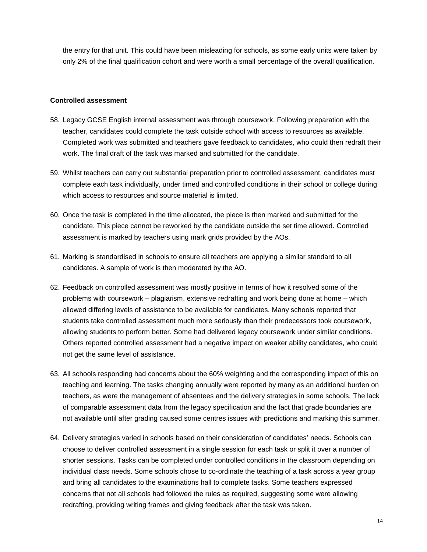the entry for that unit. This could have been misleading for schools, as some early units were taken by only 2% of the final qualification cohort and were worth a small percentage of the overall qualification.

#### **Controlled assessment**

- 58. Legacy GCSE English internal assessment was through coursework. Following preparation with the teacher, candidates could complete the task outside school with access to resources as available. Completed work was submitted and teachers gave feedback to candidates, who could then redraft their work. The final draft of the task was marked and submitted for the candidate.
- 59. Whilst teachers can carry out substantial preparation prior to controlled assessment, candidates must complete each task individually, under timed and controlled conditions in their school or college during which access to resources and source material is limited.
- 60. Once the task is completed in the time allocated, the piece is then marked and submitted for the candidate. This piece cannot be reworked by the candidate outside the set time allowed. Controlled assessment is marked by teachers using mark grids provided by the AOs.
- 61. Marking is standardised in schools to ensure all teachers are applying a similar standard to all candidates. A sample of work is then moderated by the AO.
- 62. Feedback on controlled assessment was mostly positive in terms of how it resolved some of the problems with coursework – plagiarism, extensive redrafting and work being done at home – which allowed differing levels of assistance to be available for candidates. Many schools reported that students take controlled assessment much more seriously than their predecessors took coursework, allowing students to perform better. Some had delivered legacy coursework under similar conditions. Others reported controlled assessment had a negative impact on weaker ability candidates, who could not get the same level of assistance.
- 63. All schools responding had concerns about the 60% weighting and the corresponding impact of this on teaching and learning. The tasks changing annually were reported by many as an additional burden on teachers, as were the management of absentees and the delivery strategies in some schools. The lack of comparable assessment data from the legacy specification and the fact that grade boundaries are not available until after grading caused some centres issues with predictions and marking this summer.
- 64. Delivery strategies varied in schools based on their consideration of candidates' needs. Schools can choose to deliver controlled assessment in a single session for each task or split it over a number of shorter sessions. Tasks can be completed under controlled conditions in the classroom depending on individual class needs. Some schools chose to co-ordinate the teaching of a task across a year group and bring all candidates to the examinations hall to complete tasks. Some teachers expressed concerns that not all schools had followed the rules as required, suggesting some were allowing redrafting, providing writing frames and giving feedback after the task was taken.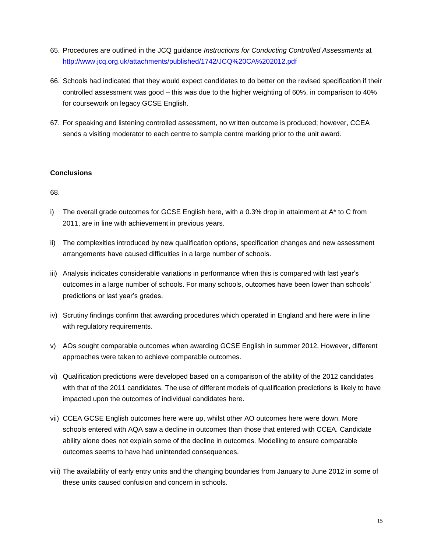- 65. Procedures are outlined in the JCQ guidance *Instructions for Conducting Controlled Assessments* at <http://www.jcq.org.uk/attachments/published/1742/JCQ%20CA%202012.pdf>
- 66. Schools had indicated that they would expect candidates to do better on the revised specification if their controlled assessment was good – this was due to the higher weighting of 60%, in comparison to 40% for coursework on legacy GCSE English.
- 67. For speaking and listening controlled assessment, no written outcome is produced; however, CCEA sends a visiting moderator to each centre to sample centre marking prior to the unit award.

#### **Conclusions**

68.

- i) The overall grade outcomes for GCSE English here, with a 0.3% drop in attainment at A\* to C from 2011, are in line with achievement in previous years.
- ii) The complexities introduced by new qualification options, specification changes and new assessment arrangements have caused difficulties in a large number of schools.
- iii) Analysis indicates considerable variations in performance when this is compared with last year's outcomes in a large number of schools. For many schools, outcomes have been lower than schools' predictions or last year's grades.
- iv) Scrutiny findings confirm that awarding procedures which operated in England and here were in line with regulatory requirements.
- v) AOs sought comparable outcomes when awarding GCSE English in summer 2012. However, different approaches were taken to achieve comparable outcomes.
- vi) Qualification predictions were developed based on a comparison of the ability of the 2012 candidates with that of the 2011 candidates. The use of different models of qualification predictions is likely to have impacted upon the outcomes of individual candidates here.
- vii) CCEA GCSE English outcomes here were up, whilst other AO outcomes here were down. More schools entered with AQA saw a decline in outcomes than those that entered with CCEA. Candidate ability alone does not explain some of the decline in outcomes. Modelling to ensure comparable outcomes seems to have had unintended consequences.
- viii) The availability of early entry units and the changing boundaries from January to June 2012 in some of these units caused confusion and concern in schools.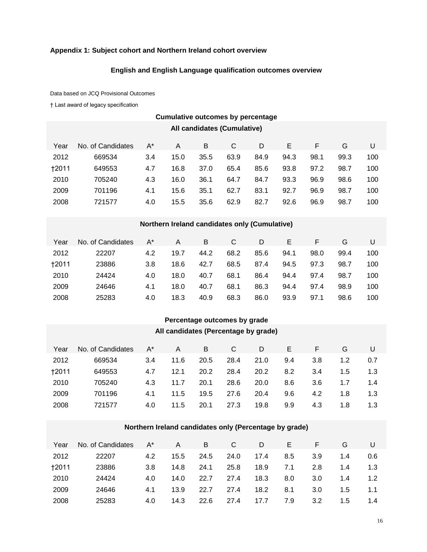### **Appendix 1: Subject cohort and Northern Ireland cohort overview**

## **English and English Language qualification outcomes overview**

Data based on JCQ Provisional Outcomes

† Last award of legacy specification

| <b>Cumulative outcomes by percentage</b> |                   |             |           |      |        |                                               |      |      |            |     |  |
|------------------------------------------|-------------------|-------------|-----------|------|--------|-----------------------------------------------|------|------|------------|-----|--|
| All candidates (Cumulative)              |                   |             |           |      |        |                                               |      |      |            |     |  |
| Year                                     | No. of Candidates | $A^*$       | A         | B    | C      | D                                             | E    | F    | G          | U   |  |
| 2012                                     | 669534            | 3.4         | 15.0      | 35.5 | 63.9   | 84.9                                          | 94.3 | 98.1 | 99.3       | 100 |  |
| <b>†2011</b>                             | 649553            | 4.7         | 16.8      | 37.0 | 65.4   | 85.6                                          | 93.8 | 97.2 | 98.7       | 100 |  |
| 2010                                     | 705240            | 4.3         | 16.0      | 36.1 | 64.7   | 84.7                                          | 93.3 | 96.9 | 98.6       | 100 |  |
| 2009                                     | 701196            | 4.1         | 15.6      | 35.1 | 62.7   | 83.1                                          | 92.7 | 96.9 | 98.7       | 100 |  |
| 2008                                     | 721577            | 4.0         | 15.5      | 35.6 | 62.9   | 82.7                                          | 92.6 | 96.9 | 98.7       | 100 |  |
|                                          |                   |             |           |      |        |                                               |      |      |            |     |  |
|                                          |                   |             |           |      |        | Northern Ireland candidates only (Cumulative) |      |      |            |     |  |
| $V_{\Omega}$                             | No. of Candidatos | $\Lambda^*$ | $\Lambda$ | R    | $\cap$ | D.                                            | E    | E    | $\epsilon$ |     |  |

| Year         | No. of Candidates | A*  | A    | B    | C    | D    | E.   |      |      |     |
|--------------|-------------------|-----|------|------|------|------|------|------|------|-----|
| 2012         | 22207             | 4.2 | 19.7 | 44.2 | 68.2 | 85.6 | 94.1 | 98.0 | 99.4 | 100 |
| <b>+2011</b> | 23886             | 3.8 | 18.6 | 42.7 | 68.5 | 87.4 | 94.5 | 97.3 | 98.7 | 100 |
| 2010         | 24424             | 4.0 | 18.0 | 40.7 | 68.1 | 86.4 | 94.4 | 97.4 | 98.7 | 100 |
| 2009         | 24646             | 4.1 | 18.0 | 40.7 | 68.1 | 86.3 | 94.4 | 97.4 | 98.9 | 100 |
| 2008         | 25283             | 4.0 | 18.3 | 40.9 | 68.3 | 86.0 | 93.9 | 97.1 | 98.6 | 100 |

# **Percentage outcomes by grade**

# **All candidates (Percentage by grade)**

| Year         | No. of Candidates | A*  | A    | B    | C    | D    | E   |     | G   |     |
|--------------|-------------------|-----|------|------|------|------|-----|-----|-----|-----|
| 2012         | 669534            | 3.4 | 11.6 | 20.5 | 28.4 | 21.0 | 9.4 | 3.8 | 1.2 | 0.7 |
| <b>+2011</b> | 649553            | 4.7 | 12.1 | 20.2 | 28.4 | 20.2 | 8.2 | 3.4 | 1.5 | 1.3 |
| 2010         | 705240            | 4.3 | 11.7 | 20.1 | 28.6 | 20.0 | 8.6 | 3.6 | 1.7 | 1.4 |
| 2009         | 701196            | 4.1 | 11.5 | 19.5 | 27.6 | 20.4 | 9.6 | 4.2 | 1.8 | 1.3 |
| 2008         | 721577            | 4.0 | 11.5 | 20.1 | 27.3 | 19.8 | 9.9 | 4.3 | 1.8 | 1.3 |

#### **Northern Ireland candidates only (Percentage by grade)**

| Year         | No. of Candidates | $A^*$ | A    | B    | C.   | D    | E.  | Ε.  | G   | U   |
|--------------|-------------------|-------|------|------|------|------|-----|-----|-----|-----|
| 2012         | 22207             | 4.2   | 15.5 | 24.5 | 24.0 | 17.4 | 8.5 | 3.9 | 1.4 | 0.6 |
| <b>+2011</b> | 23886             | 3.8   | 14.8 | 24.1 | 25.8 | 18.9 | 7.1 | 2.8 | 1.4 | 1.3 |
| 2010         | 24424             | 4.0   | 14.0 | 22.7 | 27.4 | 18.3 | 8.0 | 3.0 | 1.4 | 1.2 |
| 2009         | 24646             | 4.1   | 13.9 | 22.7 | 27.4 | 18.2 | 8.1 | 3.0 | 1.5 | 1.1 |
| 2008         | 25283             | 4.0   | 14.3 | 22.6 | 27.4 | 17.7 | 7.9 | 3.2 | 1.5 | 1.4 |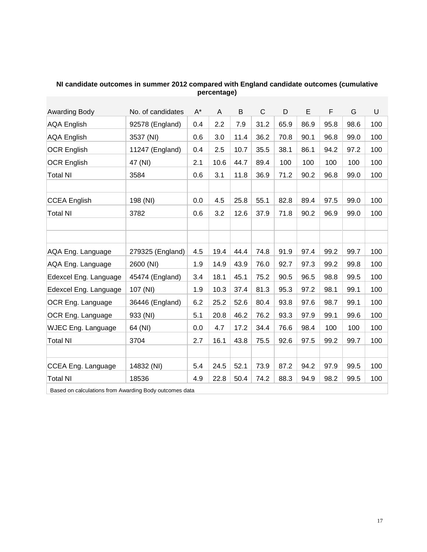| Awarding Body             | No. of candidates | $A^*$ | A    | B    | $\mathsf{C}$ | D    | E    | F    | G    | U   |
|---------------------------|-------------------|-------|------|------|--------------|------|------|------|------|-----|
| <b>AQA English</b>        | 92578 (England)   | 0.4   | 2.2  | 7.9  | 31.2         | 65.9 | 86.9 | 95.8 | 98.6 | 100 |
| <b>AQA English</b>        | 3537 (NI)         | 0.6   | 3.0  | 11.4 | 36.2         | 70.8 | 90.1 | 96.8 | 99.0 | 100 |
| <b>OCR English</b>        | 11247 (England)   | 0.4   | 2.5  | 10.7 | 35.5         | 38.1 | 86.1 | 94.2 | 97.2 | 100 |
| <b>OCR English</b>        | 47 (NI)           | 2.1   | 10.6 | 44.7 | 89.4         | 100  | 100  | 100  | 100  | 100 |
| <b>Total NI</b>           | 3584              | 0.6   | 3.1  | 11.8 | 36.9         | 71.2 | 90.2 | 96.8 | 99.0 | 100 |
|                           |                   |       |      |      |              |      |      |      |      |     |
| <b>CCEA English</b>       | 198 (NI)          | 0.0   | 4.5  | 25.8 | 55.1         | 82.8 | 89.4 | 97.5 | 99.0 | 100 |
| <b>Total NI</b>           | 3782              | 0.6   | 3.2  | 12.6 | 37.9         | 71.8 | 90.2 | 96.9 | 99.0 | 100 |
|                           |                   |       |      |      |              |      |      |      |      |     |
|                           |                   |       |      |      |              |      |      |      |      |     |
| AQA Eng. Language         | 279325 (England)  | 4.5   | 19.4 | 44.4 | 74.8         | 91.9 | 97.4 | 99.2 | 99.7 | 100 |
| AQA Eng. Language         | 2600 (NI)         | 1.9   | 14.9 | 43.9 | 76.0         | 92.7 | 97.3 | 99.2 | 99.8 | 100 |
| Edexcel Eng. Language     | 45474 (England)   | 3.4   | 18.1 | 45.1 | 75.2         | 90.5 | 96.5 | 98.8 | 99.5 | 100 |
| Edexcel Eng. Language     | 107 (NI)          | 1.9   | 10.3 | 37.4 | 81.3         | 95.3 | 97.2 | 98.1 | 99.1 | 100 |
| OCR Eng. Language         | 36446 (England)   | 6.2   | 25.2 | 52.6 | 80.4         | 93.8 | 97.6 | 98.7 | 99.1 | 100 |
| OCR Eng. Language         | 933 (NI)          | 5.1   | 20.8 | 46.2 | 76.2         | 93.3 | 97.9 | 99.1 | 99.6 | 100 |
| <b>WJEC Eng. Language</b> | 64 (NI)           | 0.0   | 4.7  | 17.2 | 34.4         | 76.6 | 98.4 | 100  | 100  | 100 |
| <b>Total NI</b>           | 3704              | 2.7   | 16.1 | 43.8 | 75.5         | 92.6 | 97.5 | 99.2 | 99.7 | 100 |
|                           |                   |       |      |      |              |      |      |      |      |     |
| CCEA Eng. Language        | 14832 (NI)        | 5.4   | 24.5 | 52.1 | 73.9         | 87.2 | 94.2 | 97.9 | 99.5 | 100 |
| <b>Total NI</b>           | 18536             | 4.9   | 22.8 | 50.4 | 74.2         | 88.3 | 94.9 | 98.2 | 99.5 | 100 |

#### **NI candidate outcomes in summer 2012 compared with England candidate outcomes (cumulative percentage)**

Based on calculations from Awarding Body outcomes data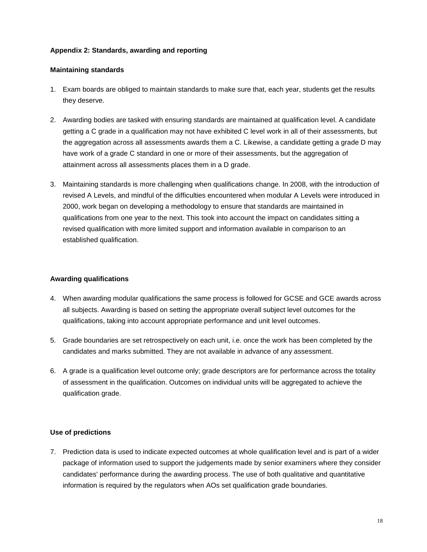#### **Appendix 2: Standards, awarding and reporting**

#### **Maintaining standards**

- 1. Exam boards are obliged to maintain standards to make sure that, each year, students get the results they deserve.
- 2. Awarding bodies are tasked with ensuring standards are maintained at qualification level. A candidate getting a C grade in a qualification may not have exhibited C level work in all of their assessments, but the aggregation across all assessments awards them a C. Likewise, a candidate getting a grade D may have work of a grade C standard in one or more of their assessments, but the aggregation of attainment across all assessments places them in a D grade.
- 3. Maintaining standards is more challenging when qualifications change. In 2008, with the introduction of revised A Levels, and mindful of the difficulties encountered when modular A Levels were introduced in 2000, work began on developing a methodology to ensure that standards are maintained in qualifications from one year to the next. This took into account the impact on candidates sitting a revised qualification with more limited support and information available in comparison to an established qualification.

#### **Awarding qualifications**

- 4. When awarding modular qualifications the same process is followed for GCSE and GCE awards across all subjects. Awarding is based on setting the appropriate overall subject level outcomes for the qualifications, taking into account appropriate performance and unit level outcomes.
- 5. Grade boundaries are set retrospectively on each unit, i.e. once the work has been completed by the candidates and marks submitted. They are not available in advance of any assessment.
- 6. A grade is a qualification level outcome only; grade descriptors are for performance across the totality of assessment in the qualification. Outcomes on individual units will be aggregated to achieve the qualification grade.

#### **Use of predictions**

7. Prediction data is used to indicate expected outcomes at whole qualification level and is part of a wider package of information used to support the judgements made by senior examiners where they consider candidates' performance during the awarding process. The use of both qualitative and quantitative information is required by the regulators when AOs set qualification grade boundaries.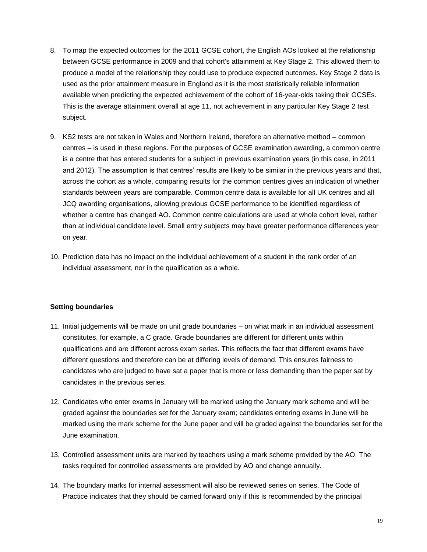- 8. To map the expected outcomes for the 2011 GCSE cohort, the English AOs looked at the relationship between GCSE performance in 2009 and that cohort's attainment at Key Stage 2. This allowed them to produce a model of the relationship they could use to produce expected outcomes. Key Stage 2 data is used as the prior attainment measure in England as it is the most statistically reliable information available when predicting the expected achievement of the cohort of 16-year-olds taking their GCSEs. This is the average attainment overall at age 11, not achievement in any particular Key Stage 2 test subject.
- 9. KS2 tests are not taken in Wales and Northern Ireland, therefore an alternative method common centres – is used in these regions. For the purposes of GCSE examination awarding, a common centre is a centre that has entered students for a subject in previous examination years (in this case, in 2011 and 2012). The assumption is that centres' results are likely to be similar in the previous years and that, across the cohort as a whole, comparing results for the common centres gives an indication of whether standards between years are comparable. Common centre data is available for all UK centres and all JCQ awarding organisations, allowing previous GCSE performance to be identified regardless of whether a centre has changed AO. Common centre calculations are used at whole cohort level, rather than at individual candidate level. Small entry subjects may have greater performance differences year on year.
- 10. Prediction data has no impact on the individual achievement of a student in the rank order of an individual assessment, nor in the qualification as a whole.

#### **Setting boundaries**

- 11. Initial judgements will be made on unit grade boundaries on what mark in an individual assessment constitutes, for example, a C grade. Grade boundaries are different for different units within qualifications and are different across exam series. This reflects the fact that different exams have different questions and therefore can be at differing levels of demand. This ensures fairness to candidates who are judged to have sat a paper that is more or less demanding than the paper sat by candidates in the previous series.
- 12. Candidates who enter exams in January will be marked using the January mark scheme and will be graded against the boundaries set for the January exam; candidates entering exams in June will be marked using the mark scheme for the June paper and will be graded against the boundaries set for the June examination.
- 13. Controlled assessment units are marked by teachers using a mark scheme provided by the AO. The tasks required for controlled assessments are provided by AO and change annually.
- 14. The boundary marks for internal assessment will also be reviewed series on series. The Code of Practice indicates that they should be carried forward only if this is recommended by the principal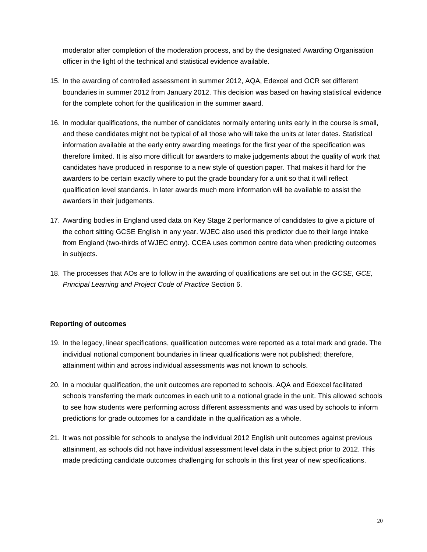moderator after completion of the moderation process, and by the designated Awarding Organisation officer in the light of the technical and statistical evidence available.

- 15. In the awarding of controlled assessment in summer 2012, AQA, Edexcel and OCR set different boundaries in summer 2012 from January 2012. This decision was based on having statistical evidence for the complete cohort for the qualification in the summer award.
- 16. In modular qualifications, the number of candidates normally entering units early in the course is small, and these candidates might not be typical of all those who will take the units at later dates. Statistical information available at the early entry awarding meetings for the first year of the specification was therefore limited. It is also more difficult for awarders to make judgements about the quality of work that candidates have produced in response to a new style of question paper. That makes it hard for the awarders to be certain exactly where to put the grade boundary for a unit so that it will reflect qualification level standards. In later awards much more information will be available to assist the awarders in their judgements.
- 17. Awarding bodies in England used data on Key Stage 2 performance of candidates to give a picture of the cohort sitting GCSE English in any year. WJEC also used this predictor due to their large intake from England (two-thirds of WJEC entry). CCEA uses common centre data when predicting outcomes in subjects.
- 18. The processes that AOs are to follow in the awarding of qualifications are set out in the *GCSE, GCE, Principal Learning and Project Code of Practice* Section 6.

## **Reporting of outcomes**

- 19. In the legacy, linear specifications, qualification outcomes were reported as a total mark and grade. The individual notional component boundaries in linear qualifications were not published; therefore, attainment within and across individual assessments was not known to schools.
- 20. In a modular qualification, the unit outcomes are reported to schools. AQA and Edexcel facilitated schools transferring the mark outcomes in each unit to a notional grade in the unit. This allowed schools to see how students were performing across different assessments and was used by schools to inform predictions for grade outcomes for a candidate in the qualification as a whole.
- 21. It was not possible for schools to analyse the individual 2012 English unit outcomes against previous attainment, as schools did not have individual assessment level data in the subject prior to 2012. This made predicting candidate outcomes challenging for schools in this first year of new specifications.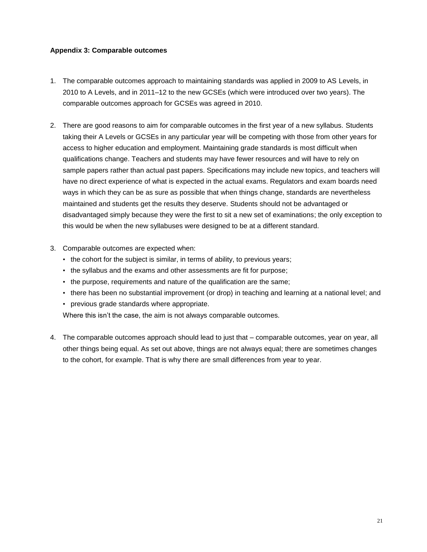#### **Appendix 3: Comparable outcomes**

- 1. The comparable outcomes approach to maintaining standards was applied in 2009 to AS Levels, in 2010 to A Levels, and in 2011–12 to the new GCSEs (which were introduced over two years). The comparable outcomes approach for GCSEs was agreed in 2010.
- 2. There are good reasons to aim for comparable outcomes in the first year of a new syllabus. Students taking their A Levels or GCSEs in any particular year will be competing with those from other years for access to higher education and employment. Maintaining grade standards is most difficult when qualifications change. Teachers and students may have fewer resources and will have to rely on sample papers rather than actual past papers. Specifications may include new topics, and teachers will have no direct experience of what is expected in the actual exams. Regulators and exam boards need ways in which they can be as sure as possible that when things change, standards are nevertheless maintained and students get the results they deserve. Students should not be advantaged or disadvantaged simply because they were the first to sit a new set of examinations; the only exception to this would be when the new syllabuses were designed to be at a different standard.
- 3. Comparable outcomes are expected when:
	- the cohort for the subject is similar, in terms of ability, to previous years;
	- the syllabus and the exams and other assessments are fit for purpose;
	- the purpose, requirements and nature of the qualification are the same;
	- there has been no substantial improvement (or drop) in teaching and learning at a national level; and
	- previous grade standards where appropriate.

Where this isn't the case, the aim is not always comparable outcomes.

4. The comparable outcomes approach should lead to just that – comparable outcomes, year on year, all other things being equal. As set out above, things are not always equal; there are sometimes changes to the cohort, for example. That is why there are small differences from year to year.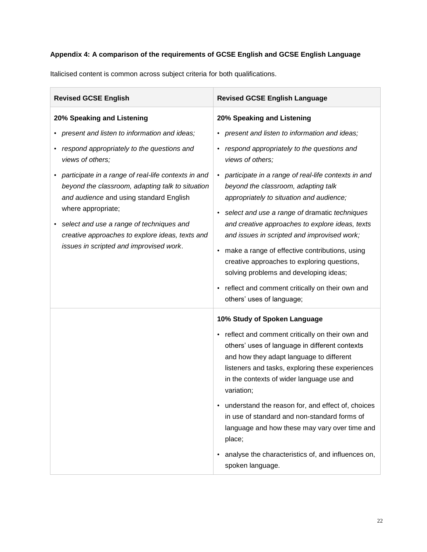# **Appendix 4: A comparison of the requirements of GCSE English and GCSE English Language**

Italicised content is common across subject criteria for both qualifications.

| <b>Revised GCSE English</b>                                                                                                                                              | <b>Revised GCSE English Language</b>                                                                                                                                                                                                                           |  |  |  |  |  |
|--------------------------------------------------------------------------------------------------------------------------------------------------------------------------|----------------------------------------------------------------------------------------------------------------------------------------------------------------------------------------------------------------------------------------------------------------|--|--|--|--|--|
| 20% Speaking and Listening                                                                                                                                               | 20% Speaking and Listening                                                                                                                                                                                                                                     |  |  |  |  |  |
| present and listen to information and ideas;                                                                                                                             | present and listen to information and ideas;                                                                                                                                                                                                                   |  |  |  |  |  |
| respond appropriately to the questions and<br>٠<br>views of others;                                                                                                      | respond appropriately to the questions and<br>$\bullet$<br>views of others;                                                                                                                                                                                    |  |  |  |  |  |
| participate in a range of real-life contexts in and<br>beyond the classroom, adapting talk to situation<br>and audience and using standard English<br>where appropriate; | participate in a range of real-life contexts in and<br>beyond the classroom, adapting talk<br>appropriately to situation and audience;<br>select and use a range of dramatic techniques                                                                        |  |  |  |  |  |
| select and use a range of techniques and<br>creative approaches to explore ideas, texts and                                                                              | and creative approaches to explore ideas, texts<br>and issues in scripted and improvised work;                                                                                                                                                                 |  |  |  |  |  |
| issues in scripted and improvised work.                                                                                                                                  | make a range of effective contributions, using<br>$\bullet$<br>creative approaches to exploring questions,<br>solving problems and developing ideas;                                                                                                           |  |  |  |  |  |
|                                                                                                                                                                          | reflect and comment critically on their own and<br>others' uses of language;                                                                                                                                                                                   |  |  |  |  |  |
|                                                                                                                                                                          | 10% Study of Spoken Language                                                                                                                                                                                                                                   |  |  |  |  |  |
|                                                                                                                                                                          | • reflect and comment critically on their own and<br>others' uses of language in different contexts<br>and how they adapt language to different<br>listeners and tasks, exploring these experiences<br>in the contexts of wider language use and<br>variation; |  |  |  |  |  |
|                                                                                                                                                                          | understand the reason for, and effect of, choices<br>in use of standard and non-standard forms of<br>language and how these may vary over time and<br>place;                                                                                                   |  |  |  |  |  |
|                                                                                                                                                                          | analyse the characteristics of, and influences on,<br>spoken language.                                                                                                                                                                                         |  |  |  |  |  |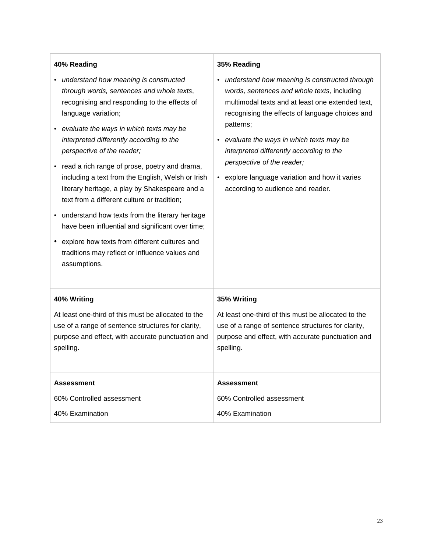| 40% Reading                                                                                                                                                                                                                                                                                                                                                                                                                                                                                                                                                                                                                                                                                                             | 35% Reading                                                                                                                                                                                                                                                                                                                                                                                                                                  |  |  |  |  |
|-------------------------------------------------------------------------------------------------------------------------------------------------------------------------------------------------------------------------------------------------------------------------------------------------------------------------------------------------------------------------------------------------------------------------------------------------------------------------------------------------------------------------------------------------------------------------------------------------------------------------------------------------------------------------------------------------------------------------|----------------------------------------------------------------------------------------------------------------------------------------------------------------------------------------------------------------------------------------------------------------------------------------------------------------------------------------------------------------------------------------------------------------------------------------------|--|--|--|--|
| • understand how meaning is constructed<br>through words, sentences and whole texts,<br>recognising and responding to the effects of<br>language variation;<br>evaluate the ways in which texts may be<br>interpreted differently according to the<br>perspective of the reader;<br>• read a rich range of prose, poetry and drama,<br>including a text from the English, Welsh or Irish<br>literary heritage, a play by Shakespeare and a<br>text from a different culture or tradition;<br>• understand how texts from the literary heritage<br>have been influential and significant over time;<br>• explore how texts from different cultures and<br>traditions may reflect or influence values and<br>assumptions. | understand how meaning is constructed through<br>٠<br>words, sentences and whole texts, including<br>multimodal texts and at least one extended text,<br>recognising the effects of language choices and<br>patterns;<br>evaluate the ways in which texts may be<br>interpreted differently according to the<br>perspective of the reader;<br>explore language variation and how it varies<br>$\bullet$<br>according to audience and reader. |  |  |  |  |
| 40% Writing<br>At least one-third of this must be allocated to the<br>use of a range of sentence structures for clarity,<br>purpose and effect, with accurate punctuation and<br>spelling.                                                                                                                                                                                                                                                                                                                                                                                                                                                                                                                              | 35% Writing<br>At least one-third of this must be allocated to the<br>use of a range of sentence structures for clarity,<br>purpose and effect, with accurate punctuation and<br>spelling.                                                                                                                                                                                                                                                   |  |  |  |  |
| <b>Assessment</b>                                                                                                                                                                                                                                                                                                                                                                                                                                                                                                                                                                                                                                                                                                       | <b>Assessment</b>                                                                                                                                                                                                                                                                                                                                                                                                                            |  |  |  |  |
| 60% Controlled assessment                                                                                                                                                                                                                                                                                                                                                                                                                                                                                                                                                                                                                                                                                               | 60% Controlled assessment                                                                                                                                                                                                                                                                                                                                                                                                                    |  |  |  |  |
| 40% Examination                                                                                                                                                                                                                                                                                                                                                                                                                                                                                                                                                                                                                                                                                                         | 40% Examination                                                                                                                                                                                                                                                                                                                                                                                                                              |  |  |  |  |

 $\overline{1}$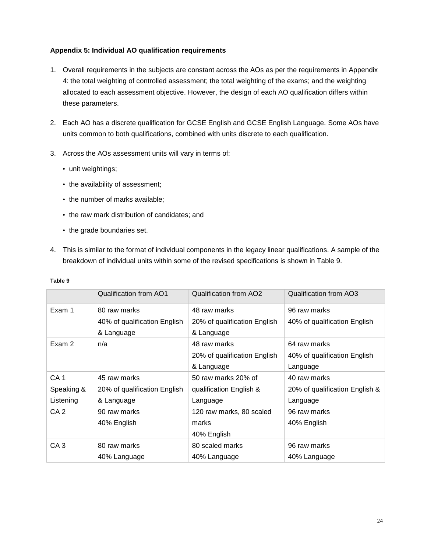#### **Appendix 5: Individual AO qualification requirements**

- 1. Overall requirements in the subjects are constant across the AOs as per the requirements in Appendix 4: the total weighting of controlled assessment; the total weighting of the exams; and the weighting allocated to each assessment objective. However, the design of each AO qualification differs within these parameters.
- 2. Each AO has a discrete qualification for GCSE English and GCSE English Language. Some AOs have units common to both qualifications, combined with units discrete to each qualification.
- 3. Across the AOs assessment units will vary in terms of:
	- unit weightings;
	- the availability of assessment;
	- the number of marks available;
	- the raw mark distribution of candidates; and
	- the grade boundaries set.
- 4. This is similar to the format of individual components in the legacy linear qualifications. A sample of the breakdown of individual units within some of the revised specifications is shown in Table 9.

|                 | Qualification from AO1       | <b>Qualification from AO2</b> | <b>Qualification from AO3</b>  |
|-----------------|------------------------------|-------------------------------|--------------------------------|
| Exam 1          | 80 raw marks                 | 48 raw marks                  | 96 raw marks                   |
|                 | 40% of qualification English | 20% of qualification English  | 40% of qualification English   |
|                 | & Language                   | & Language                    |                                |
| Exam 2          | n/a                          | 48 raw marks                  | 64 raw marks                   |
|                 |                              | 20% of qualification English  | 40% of qualification English   |
|                 |                              | & Language                    | Language                       |
| CA <sub>1</sub> | 45 raw marks                 | 50 raw marks 20% of           | 40 raw marks                   |
| Speaking &      | 20% of qualification English | qualification English &       | 20% of qualification English & |
| Listening       | & Language                   | Language                      | Language                       |
| CA <sub>2</sub> | 90 raw marks                 | 120 raw marks, 80 scaled      | 96 raw marks                   |
|                 | 40% English                  | marks                         | 40% English                    |
|                 |                              | 40% English                   |                                |
| CA <sub>3</sub> | 80 raw marks                 | 80 scaled marks               | 96 raw marks                   |
|                 | 40% Language                 | 40% Language                  | 40% Language                   |

#### **Table 9**